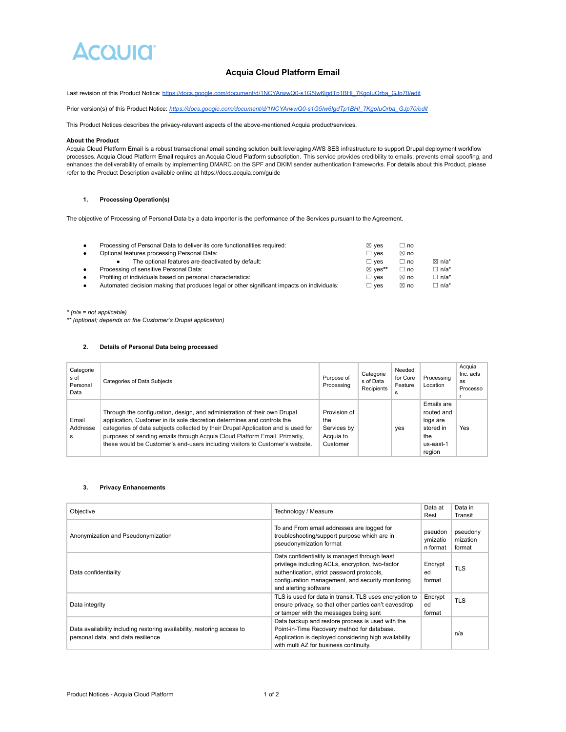## **ACOUID**

## **Acquia Cloud Platform Email**

Last revision of this Product Notice: https://docs.google.com/document/d/1NCYArwwQ0-s1G5Iw6IgdTp1BHI\_7KgoIuOrba\_GJp70/edit

Prior version(s) of this Product Notice: [https://docs.google.com/document/d/1NCYArwwQ0-s1G5Iw6IgdTp1BHl\\_7KgoIuOrba\\_GJp70/edit](https://docs.google.com/document/d/1NCYArwwQ0-s1G5Iw6IgdTp1BHl_7KgoIuOrba_GJp70/edit)

This Product Notices describes the privacy-relevant aspects of the above-mentioned Acquia product/services.

#### **About the Product**

Acquia Cloud Platform Email is a robust transactional email sending solution built leveraging AWS SES infrastructure to support Drupal deployment workflow processes. Acquia Cloud Platform Email requires an Acquia Cloud Platform subscription. This service provides credibility to emails, prevents email spoofing, and enhances the deliverability of emails by implementing DMARC on the SPF and DKIM sender authentication frameworks. For details about this Product, please refer to the Product Description available online at https://docs.acquia.com/guide

#### **1. Processing Operation(s)**

The objective of Processing of Personal Data by a data importer is the performance of the Services pursuant to the Agreement.

| $\bullet$ | Processing of Personal Data to deliver its core functionalities required:                  | $\boxtimes$ ves | ∟ no           |                  |
|-----------|--------------------------------------------------------------------------------------------|-----------------|----------------|------------------|
| $\bullet$ | Optional features processing Personal Data:                                                | $\Box$ ves      | $\boxtimes$ no |                  |
|           | The optional features are deactivated by default:                                          | $\Box$ ves      | ∟ no           | $\boxtimes$ n/a* |
| $\bullet$ | Processing of sensitive Personal Data:                                                     | ⊠ ves**         | ∟ no           | $\Box$ n/a*      |
| $\bullet$ | Profiling of individuals based on personal characteristics:                                | $\square$ ves   | $\boxtimes$ no | $\Box$ n/a*      |
| $\bullet$ | Automated decision making that produces legal or other significant impacts on individuals: | $\sqsupset$ ves | $\boxtimes$ no | $\Box$ n/a*      |

*\* (n/a = not applicable)*

*\*\* (optional; depends on the Customer's Drupal application)*

#### **2. Details of Personal Data being processed**

| Categorie<br>s of<br>Personal<br>Data | Categories of Data Subjects                                                                                                                                                                                                                                                                                                                                                                               | Purpose of<br>Processing                                    | Categorie<br>s of Data<br>Recipients | Needed<br>for Core<br>Feature<br>s | Processing<br>Location                                                          | Acquia<br>Inc. acts<br>as<br>Processo |
|---------------------------------------|-----------------------------------------------------------------------------------------------------------------------------------------------------------------------------------------------------------------------------------------------------------------------------------------------------------------------------------------------------------------------------------------------------------|-------------------------------------------------------------|--------------------------------------|------------------------------------|---------------------------------------------------------------------------------|---------------------------------------|
| Email<br>Addresse<br>s                | Through the configuration, design, and administration of their own Drupal<br>application, Customer in its sole discretion determines and controls the<br>categories of data subjects collected by their Drupal Application and is used for<br>purposes of sending emails through Acquia Cloud Platform Email. Primarily,<br>these would be Customer's end-users including visitors to Customer's website. | Provision of<br>the<br>Services by<br>Acquia to<br>Customer |                                      | yes                                | Emails are<br>routed and<br>logs are<br>stored in<br>the<br>us-east-1<br>region | Yes                                   |

#### **3. Privacy Enhancements**

| Objective                                                                                                     | Technology / Measure                                                                                                                                                                                                          | Data at<br>Rest                 | Data in<br>Transit             |
|---------------------------------------------------------------------------------------------------------------|-------------------------------------------------------------------------------------------------------------------------------------------------------------------------------------------------------------------------------|---------------------------------|--------------------------------|
| Anonymization and Pseudonymization                                                                            | To and From email addresses are logged for<br>troubleshooting/support purpose which are in<br>pseudonymization format                                                                                                         | pseudon<br>ymizatio<br>n format | pseudony<br>mization<br>format |
| Data confidentiality                                                                                          | Data confidentiality is managed through least<br>privilege including ACLs, encryption, two-factor<br>authentication, strict password protocols,<br>configuration management, and security monitoring<br>and alerting software | Encrypt<br>ed<br>format         | <b>TLS</b>                     |
| Data integrity                                                                                                | TLS is used for data in transit. TLS uses encryption to<br>ensure privacy, so that other parties can't eavesdrop<br>or tamper with the messages being sent                                                                    | Encrypt<br>ed<br>format         | <b>TLS</b>                     |
| Data availability including restoring availability, restoring access to<br>personal data, and data resilience | Data backup and restore process is used with the<br>Point-in-Time Recovery method for database.<br>Application is deployed considering high availability<br>with multi AZ for business continuity.                            |                                 | n/a                            |